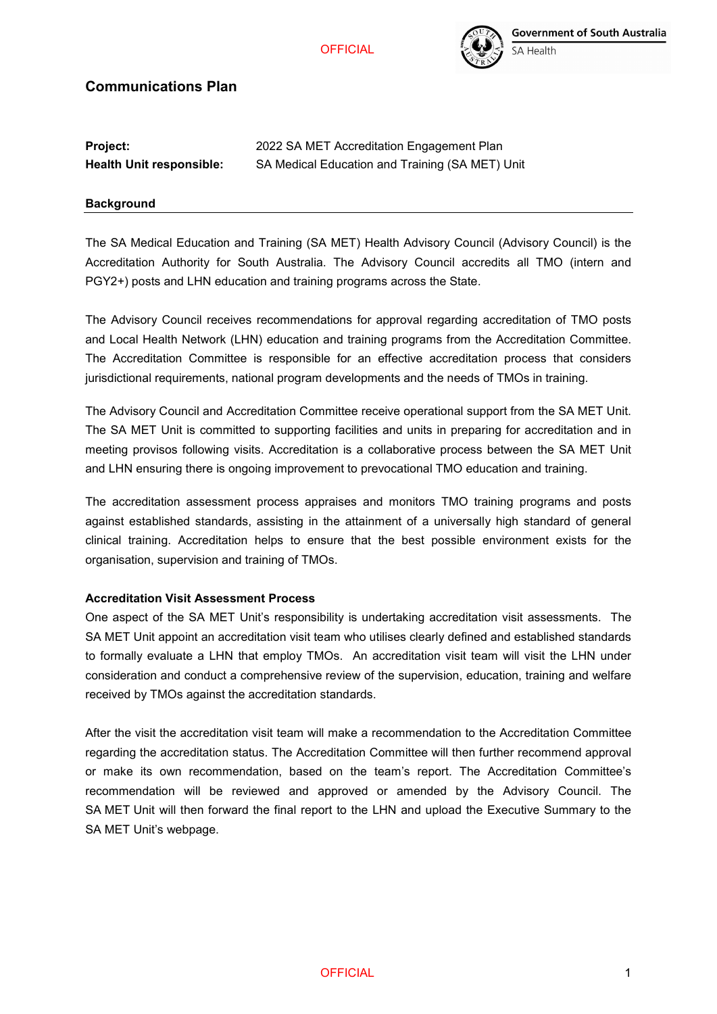## **OFFICIAL**



# **Communications Plan**

| <b>Project:</b>                 | 2022 SA MET Accreditation Engagement Plan       |
|---------------------------------|-------------------------------------------------|
| <b>Health Unit responsible:</b> | SA Medical Education and Training (SA MET) Unit |

#### **Background**

The SA Medical Education and Training (SA MET) Health Advisory Council (Advisory Council) is the Accreditation Authority for South Australia. The Advisory Council accredits all TMO (intern and PGY2+) posts and LHN education and training programs across the State.

The Advisory Council receives recommendations for approval regarding accreditation of TMO posts and Local Health Network (LHN) education and training programs from the Accreditation Committee. The Accreditation Committee is responsible for an effective accreditation process that considers jurisdictional requirements, national program developments and the needs of TMOs in training.

The Advisory Council and Accreditation Committee receive operational support from the SA MET Unit. The SA MET Unit is committed to supporting facilities and units in preparing for accreditation and in meeting provisos following visits. Accreditation is a collaborative process between the SA MET Unit and LHN ensuring there is ongoing improvement to prevocational TMO education and training.

The accreditation assessment process appraises and monitors TMO training programs and posts against established standards, assisting in the attainment of a universally high standard of general clinical training. Accreditation helps to ensure that the best possible environment exists for the organisation, supervision and training of TMOs.

#### **Accreditation Visit Assessment Process**

One aspect of the SA MET Unit's responsibility is undertaking accreditation visit assessments. The SA MET Unit appoint an accreditation visit team who utilises clearly defined and established standards to formally evaluate a LHN that employ TMOs. An accreditation visit team will visit the LHN under consideration and conduct a comprehensive review of the supervision, education, training and welfare received by TMOs against the accreditation standards.

After the visit the accreditation visit team will make a recommendation to the Accreditation Committee regarding the accreditation status. The Accreditation Committee will then further recommend approval or make its own recommendation, based on the team's report. The Accreditation Committee's recommendation will be reviewed and approved or amended by the Advisory Council. The SA MET Unit will then forward the final report to the LHN and upload the Executive Summary to the SA MET Unit's webpage.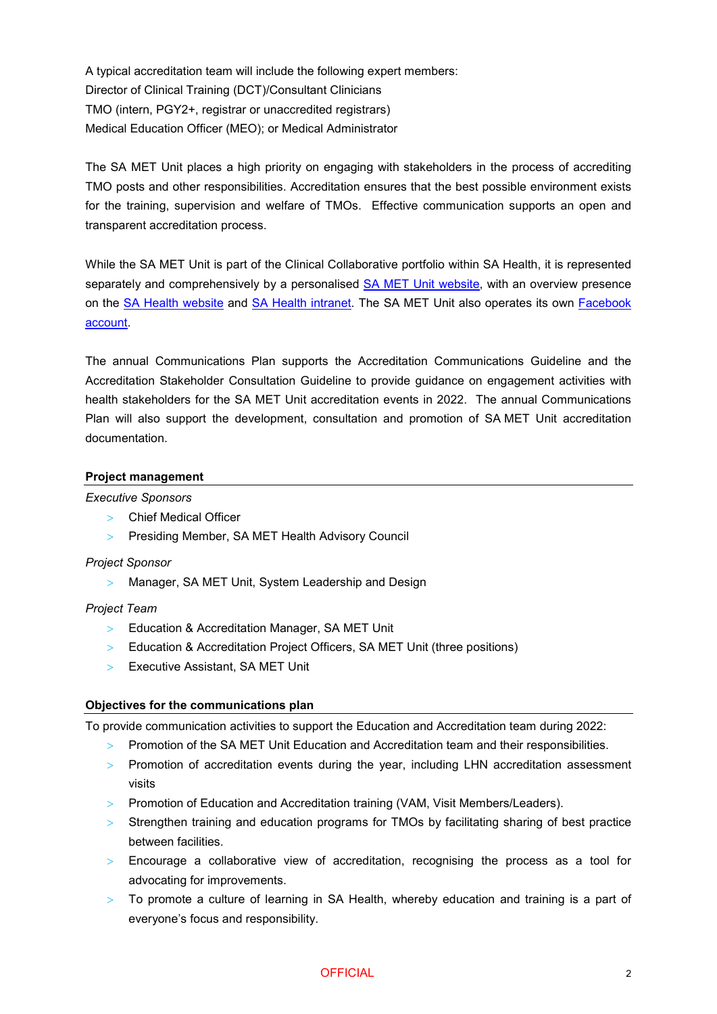A typical accreditation team will include the following expert members: Director of Clinical Training (DCT)/Consultant Clinicians TMO (intern, PGY2+, registrar or unaccredited registrars) Medical Education Officer (MEO); or Medical Administrator

The SA MET Unit places a high priority on engaging with stakeholders in the process of accrediting TMO posts and other responsibilities. Accreditation ensures that the best possible environment exists for the training, supervision and welfare of TMOs. Effective communication supports an open and transparent accreditation process.

While the SA MET Unit is part of the Clinical Collaborative portfolio within SA Health, it is represented separately and comprehensively by a personalised [SA MET Unit website,](https://www.samet.org.au/about/) with an overview presence on the [SA Health website](https://www.sahealth.sa.gov.au/wps/wcm/connect/public+content/sa+health+internet/clinical+resources/education+and+training/south+australian+medical+education+and+training+sa+met) and [SA Health intranet.](http://inside.sahealth.sa.gov.au/wps/wcm/connect/non-public%20content/sa%20health%20intranet/business%20units/health%20system%20performance/operations/south%20australian%20medical%20and%20training%20(sa%20met)%20health%20advisory%20council) The SA MET Unit also operates its own [Facebook](https://www.facebook.com/SAMedicalEducationandTraining)  [account.](https://www.facebook.com/SAMedicalEducationandTraining)

The annual Communications Plan supports the Accreditation Communications Guideline and the Accreditation Stakeholder Consultation Guideline to provide guidance on engagement activities with health stakeholders for the SA MET Unit accreditation events in 2022. The annual Communications Plan will also support the development, consultation and promotion of SA MET Unit accreditation documentation.

## **Project management**

#### *Executive Sponsors*

- > Chief Medical Officer
- > Presiding Member, SA MET Health Advisory Council

#### *Project Sponsor*

> Manager, SA MET Unit, System Leadership and Design

### *Project Team*

- > Education & Accreditation Manager, SA MET Unit
- > Education & Accreditation Project Officers, SA MET Unit (three positions)
- > Executive Assistant, SA MET Unit

#### **Objectives for the communications plan**

To provide communication activities to support the Education and Accreditation team during 2022:

- > Promotion of the SA MET Unit Education and Accreditation team and their responsibilities.
- > Promotion of accreditation events during the year, including LHN accreditation assessment visits
- > Promotion of Education and Accreditation training (VAM, Visit Members/Leaders).
- > Strengthen training and education programs for TMOs by facilitating sharing of best practice between facilities.
- > Encourage a collaborative view of accreditation, recognising the process as a tool for advocating for improvements.
- > To promote a culture of learning in SA Health, whereby education and training is a part of everyone's focus and responsibility.

### OFFICIAL 2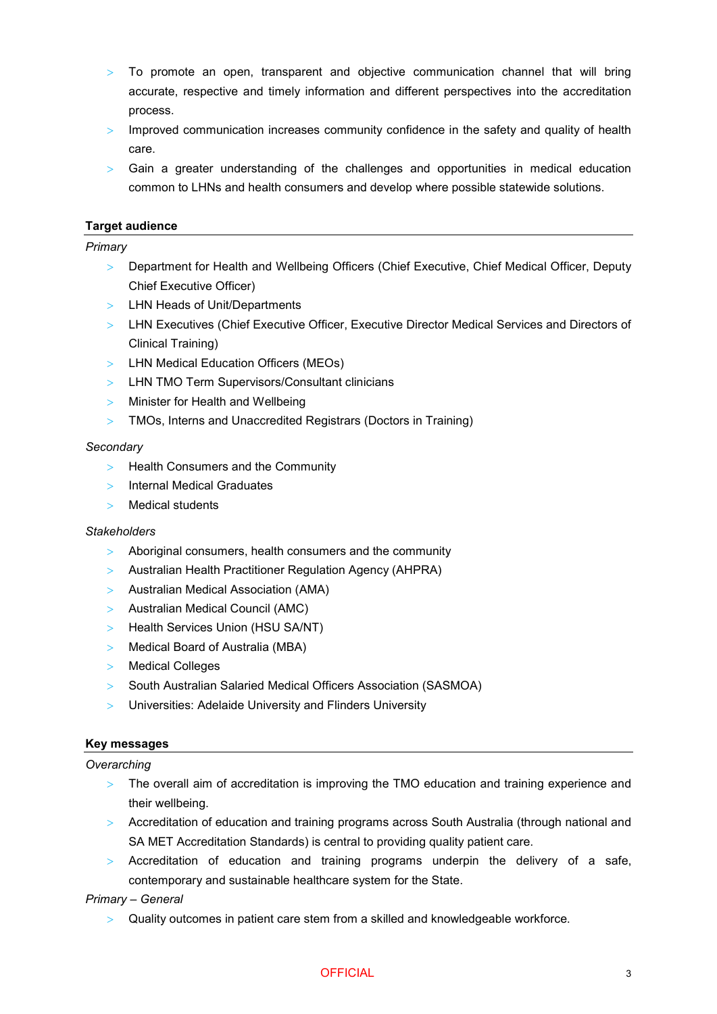- > To promote an open, transparent and objective communication channel that will bring accurate, respective and timely information and different perspectives into the accreditation process.
- $>$  Improved communication increases community confidence in the safety and quality of health care.
- $>$  Gain a greater understanding of the challenges and opportunities in medical education common to LHNs and health consumers and develop where possible statewide solutions.

## **Target audience**

### *Primary*

- > Department for Health and Wellbeing Officers (Chief Executive, Chief Medical Officer, Deputy Chief Executive Officer)
- > LHN Heads of Unit/Departments
- > LHN Executives (Chief Executive Officer, Executive Director Medical Services and Directors of Clinical Training)
- > LHN Medical Education Officers (MEOs)
- > LHN TMO Term Supervisors/Consultant clinicians
- > Minister for Health and Wellbeing
- > TMOs, Interns and Unaccredited Registrars (Doctors in Training)

#### *Secondary*

- > Health Consumers and the Community
- > Internal Medical Graduates
- > Medical students

#### *Stakeholders*

- > Aboriginal consumers, health consumers and the community
- > Australian Health Practitioner Regulation Agency (AHPRA)
- > Australian Medical Association (AMA)
- > Australian Medical Council (AMC)
- > Health Services Union (HSU SA/NT)
- > Medical Board of Australia (MBA)
- > Medical Colleges
- > South Australian Salaried Medical Officers Association (SASMOA)
- > Universities: Adelaide University and Flinders University

#### **Key messages**

#### *Overarching*

- > The overall aim of accreditation is improving the TMO education and training experience and their wellbeing.
- > Accreditation of education and training programs across South Australia (through national and SA MET Accreditation Standards) is central to providing quality patient care.
- > Accreditation of education and training programs underpin the delivery of a safe, contemporary and sustainable healthcare system for the State.

#### *Primary – General*

> Quality outcomes in patient care stem from a skilled and knowledgeable workforce.

### OFFICIAL 3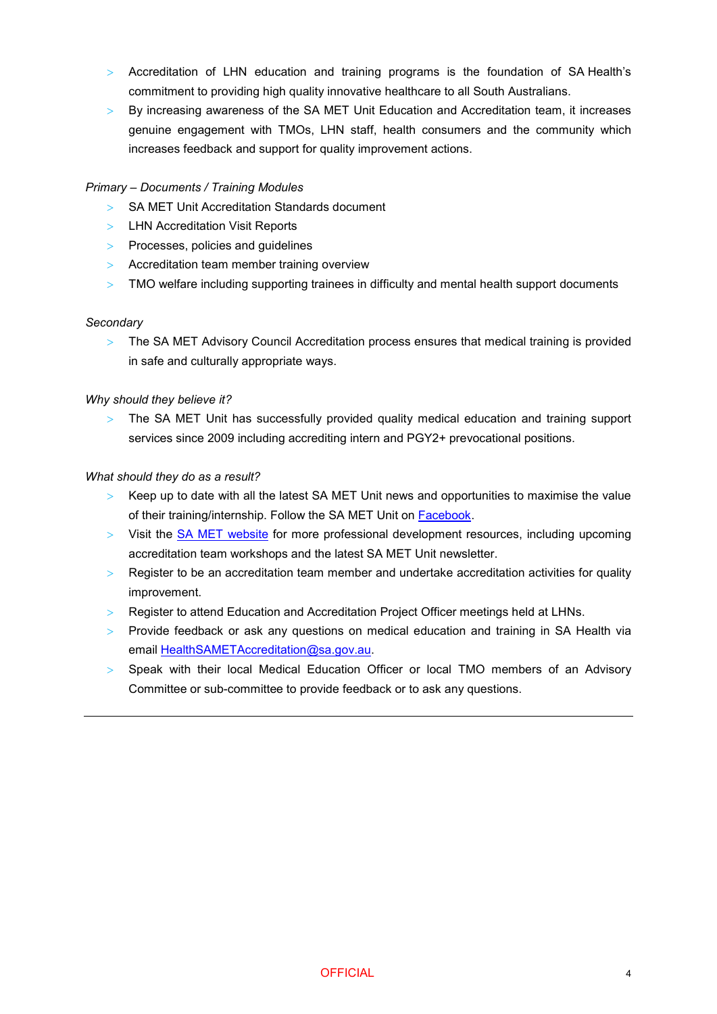- > Accreditation of LHN education and training programs is the foundation of SA Health's commitment to providing high quality innovative healthcare to all South Australians.
- > By increasing awareness of the SA MET Unit Education and Accreditation team, it increases genuine engagement with TMOs, LHN staff, health consumers and the community which increases feedback and support for quality improvement actions.

# *Primary – Documents / Training Modules*

- > SA MET Unit Accreditation Standards document
- > LHN Accreditation Visit Reports
- > Processes, policies and guidelines
- > Accreditation team member training overview
- > TMO welfare including supporting trainees in difficulty and mental health support documents

## *Secondary*

> The SA MET Advisory Council Accreditation process ensures that medical training is provided in safe and culturally appropriate ways.

## *Why should they believe it?*

The SA MET Unit has successfully provided quality medical education and training support services since 2009 including accrediting intern and PGY2+ prevocational positions.

## *What should they do as a result?*

- $>$  Keep up to date with all the latest SA MET Unit news and opportunities to maximise the value of their training/internship. Follow the SA MET Unit on [Facebook.](https://www.facebook.com/SAMedicalEducationandTraining)
- > Visit the [SA MET website](https://www.samet.org.au/education-training/workshops/) for more professional development resources, including upcoming accreditation team workshops and the latest SA MET Unit newsletter.
- > Register to be an accreditation team member and undertake accreditation activities for quality improvement.
- > Register to attend Education and Accreditation Project Officer meetings held at LHNs.
- $>$  Provide feedback or ask any questions on medical education and training in SA Health via email [HealthSAMETAccreditation@sa.gov.au.](mailto:HealthSAMETAccreditation@sa.gov.au)
- > Speak with their local Medical Education Officer or local TMO members of an Advisory Committee or sub-committee to provide feedback or to ask any questions.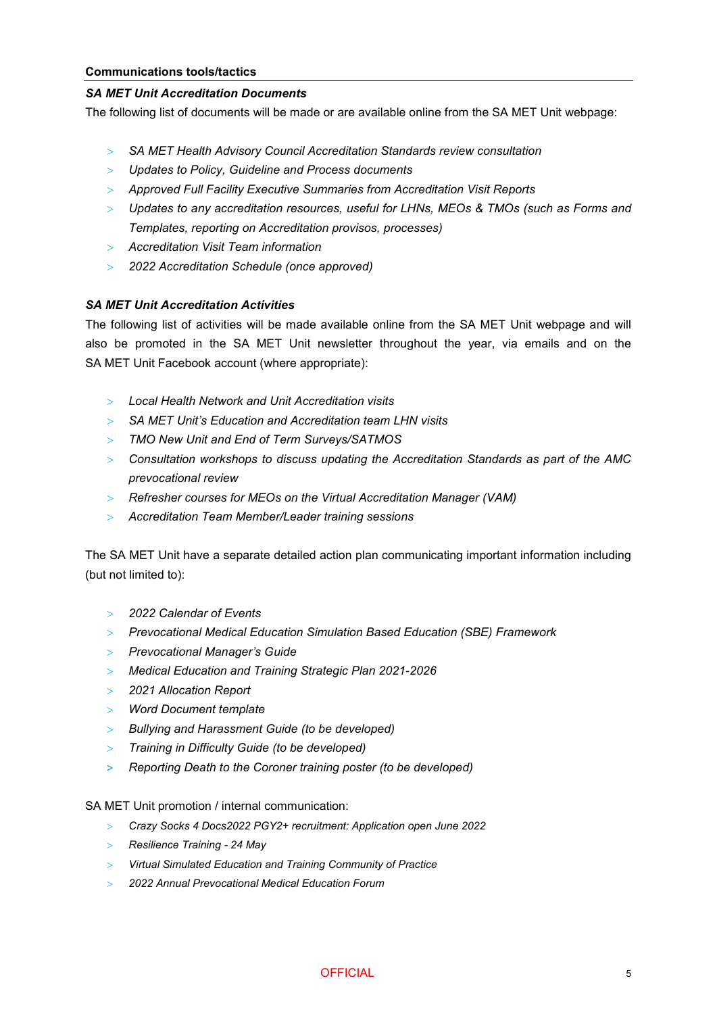#### *SA MET Unit Accreditation Documents*

The following list of documents will be made or are available online from the SA MET Unit webpage:

- > *SA MET Health Advisory Council Accreditation Standards review consultation*
- > *Updates to Policy, Guideline and Process documents*
- > *Approved Full Facility Executive Summaries from Accreditation Visit Reports*
- > *Updates to any accreditation resources, useful for LHNs, MEOs & TMOs (such as Forms and Templates, reporting on Accreditation provisos, processes)*
- > *Accreditation Visit Team information*
- > *2022 Accreditation Schedule (once approved)*

## *SA MET Unit Accreditation Activities*

The following list of activities will be made available online from the SA MET Unit webpage and will also be promoted in the SA MET Unit newsletter throughout the year, via emails and on the SA MET Unit Facebook account (where appropriate):

- > *Local Health Network and Unit Accreditation visits*
- > *SA MET Unit's Education and Accreditation team LHN visits*
- > *TMO New Unit and End of Term Surveys/SATMOS*
- > *Consultation workshops to discuss updating the Accreditation Standards as part of the AMC prevocational review*
- > *Refresher courses for MEOs on the Virtual Accreditation Manager (VAM)*
- > *Accreditation Team Member/Leader training sessions*

The SA MET Unit have a separate detailed action plan communicating important information including (but not limited to):

- > *2022 Calendar of Events*
- > *Prevocational Medical Education Simulation Based Education (SBE) Framework*
- > *Prevocational Manager's Guide*
- > *Medical Education and Training Strategic Plan 2021-2026*
- > *2021 Allocation Report*
- > *Word Document template*
- > *Bullying and Harassment Guide (to be developed)*
- > *Training in Difficulty Guide (to be developed)*
- ˃ *Reporting Death to the Coroner training poster (to be developed)*

SA MET Unit promotion / internal communication:

- > *Crazy Socks 4 Docs2022 PGY2+ recruitment: Application open June 2022*
- > *Resilience Training - 24 May*
- > *Virtual Simulated Education and Training Community of Practice*
- > *2022 Annual Prevocational Medical Education Forum*

OFFICIAL 5